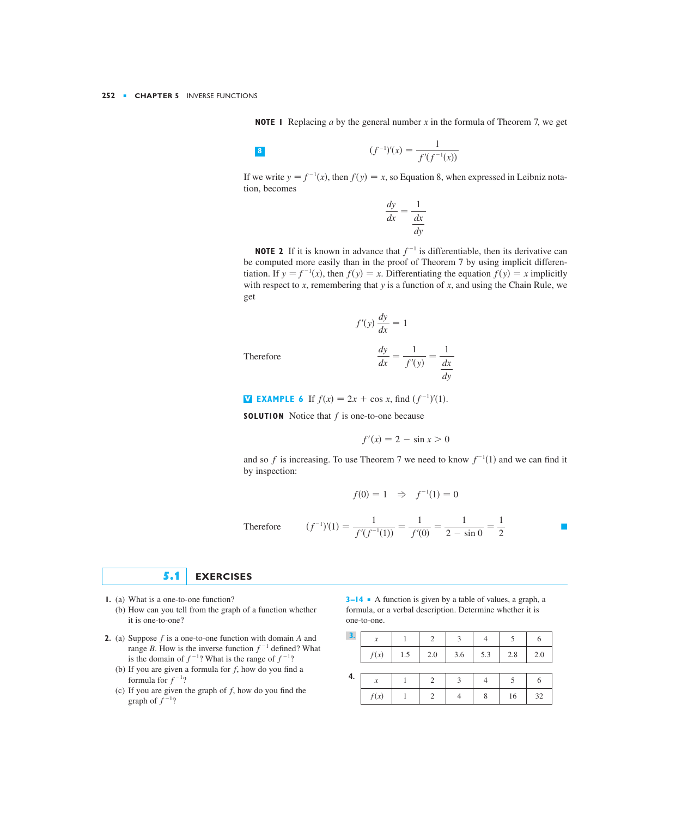**NOTE 1** Replacing a by the general number x in the formula of Theorem 7, we get

$$
\left\| \bm{8} \right\|
$$

8 
$$
(f^{-1})'(x) = \frac{1}{f'(f^{-1}(x))}
$$

If we write  $y = f^{-1}(x)$ , then  $f(y) = x$ , so Equation 8, when expressed in Leibniz notation, becomes

$$
\frac{dy}{dx} = \frac{1}{\frac{dx}{dy}}
$$

**NOTE 2** If it is known in advance that  $f^{-1}$  is differentiable, then its derivative can be computed more easily than in the proof of Theorem 7 by using implicit differen*tiation.* If  $y = f^{-1}(x)$ , then  $f(y) = x$ . Differentiating the equation  $f(y) = x$  implicitly with respect to  $x$ , remembering that  $y$  is a function of  $x$ , and using the Chain Rule, we get

$$
f'(y)\frac{dy}{dx} = 1
$$

Therefore

$$
\frac{dy}{dx} = \frac{1}{f'(y)} = \frac{1}{\frac{dx}{dy}}
$$

**EXAMPLE 6** If  $f(x) = 2x + \cos x$ , find  $(f^{-1})'(1)$ .

**SOLUTION** Notice that  $f$  is one-to-one because

$$
f'(x) = 2 - \sin x > 0
$$

and so f is increasing. To use Theorem 7 we need to know  $f^{-1}(1)$  and we can find it by inspection:

$$
f(0) = 1 \Rightarrow f^{-1}(1) = 0
$$

Therefore 
$$
(f^{-1})'(1) = \frac{1}{f'(f^{-1}(1))} = \frac{1}{f'(0)} = \frac{1}{2 - \sin 0} = \frac{1}{2}
$$

# **5.1 EXERCISES**

- **1.** (a) What is a one-to-one function?
	- (b) How can you tell from the graph of a function whether it is one-to-one?
- **2.** (a) Suppose  $f$  is a one-to-one function with domain  $A$  and range *B*. How is the inverse function  $f^{-1}$  defined? What is the domain of  $f^{-1}$ ? What is the range of  $f^{-1}$ ?
	- (b) If you are given a formula for  $f$ , how do you find a formula for  $f^{-1}$ ?
	- (c) If you are given the graph of  $f$ , how do you find the graph of  $f^{-1}$ ?

**3–14** ■ A function is given by a table of values, a graph, a formula, or a verbal description. Determine whether it is one-to-one.

| 3. | $\boldsymbol{\mathcal{X}}$ |     | $\mathcal{D}$ | $\mathbf{a}$ |     |     |     |
|----|----------------------------|-----|---------------|--------------|-----|-----|-----|
|    | f(x)                       | 1.5 | 2.0           | 3.6          | 5.3 | 2.8 | 2.0 |
|    |                            |     |               |              |     |     |     |
| 4. | $\boldsymbol{\mathcal{X}}$ |     |               | 3            |     |     |     |
|    | f(x)                       |     |               |              | 8   | 16  | 32  |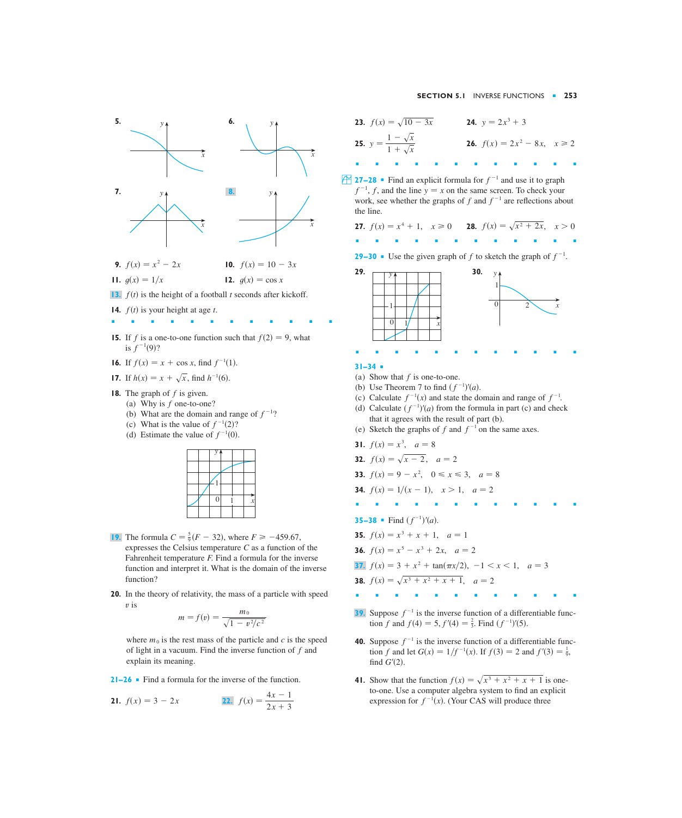

- **15.** If f is a one-to-one function such that  $f(2) = 9$ , what is  $f^{-1}(9)$ ?
- **16.** If  $f(x) = x + \cos x$ , find  $f^{-1}(1)$ .
- **17.** If  $h(x) = x + \sqrt{x}$ , find  $h^{-1}(6)$ .
- **18.** The graph of  $f$  is given.
	- (a) Why is  $f$  one-to-one?
		- (b) What are the domain and range of  $f^{-1}$ ?
		- (c) What is the value of  $f^{-1}(2)$ ?
		- (d) Estimate the value of  $f^{-1}(0)$ .



- **19.** The formula  $C = \frac{5}{9}(F 32)$ , where  $F \ge -459.67$ , expresses the Celsius temperature *C* as a function of the Fahrenheit temperature *F*. Find a formula for the inverse function and interpret it. What is the domain of the inverse function?
- **20.** In the theory of relativity, the mass of a particle with speed is *v*

$$
m = f(v) = \frac{m_0}{\sqrt{1 - v^2/c^2}}
$$

where  $m_0$  is the rest mass of the particle and  $c$  is the speed of light in a vacuum. Find the inverse function of  $f$  and explain its meaning.

**21–26** ■ Find a formula for the inverse of the function.

**21.** 
$$
f(x) = 3 - 2x
$$
 **22.**  $f(x) = \frac{4x - 1}{2x + 3}$ 

**23.** 
$$
f(x) = \sqrt{10 - 3x}
$$
  
\n**24.**  $y = 2x^3 + 3$   
\n**25.**  $y = \frac{1 - \sqrt{x}}{1 + \sqrt{x}}$   
\n**26.**  $f(x) = 2x^2 - 8x, \quad x \ge 2$ 

**27–28** • Find an explicit formula for  $f^{-1}$  and use it to graph  $f^{-1}$ , f, and the line  $y = x$  on the same screen. To check your work, see whether the graphs of  $f$  and  $f^{-1}$  are reflections about the line.

**27.**  $f(x) = x^4 + 1$ ,  $x \ge 0$ **28.**  $f(x) = \sqrt{x^2 + 2x}, \quad x > 0$ 

■■■■■■■■■■■■

**29–30** • Use the given graph of f to sketch the graph of  $f^{-1}$ .



## **31–34** ■

- (a) Show that  $f$  is one-to-one.
- (b) Use Theorem 7 to find  $(f^{-1})'(a)$ .
- (c) Calculate  $f^{-1}(x)$  and state the domain and range of  $f^{-1}$ .
- (d) Calculate  $(f^{-1})'(a)$  from the formula in part (c) and check that it agrees with the result of part (b).
- (e) Sketch the graphs of f and  $f^{-1}$  on the same axes.

**31.** 
$$
f(x) = x^3
$$
,  $a = 8$ 

**32.** 
$$
f(x) = \sqrt{x - 2}, \quad a = 2
$$

- **33.**  $f(x) = 9 x^2$ ,  $0 \le x \le 3$ ,  $a = 8$
- **34.**  $f(x) = 1/(x 1), \quad x > 1, \quad a = 2$
- ■■■■■■■■■■■■ **35–38** ■ Find  $(f^{-1})'(a)$ .

- **35.**  $f(x) = x^3 + x + 1$ ,  $a = 1$
- **36.**  $f(x) = x^5 x^3 + 2x$ ,  $a = 2$
- **37.**  $f(x) = 3 + x^2 + \tan(\pi x/2), -1 < x < 1, a = 3$

**38.** 
$$
f(x) = \sqrt{x^3 + x^2 + x + 1}
$$
,  $a = 2$ 

- ■■■■■■■■■■■■
- **39.** Suppose  $f^{-1}$  is the inverse function of a differentiable function f and  $f(4) = 5$ ,  $f'(4) = \frac{2}{3}$ . Find  $(f^{-1})'(5)$ .
- **40.** Suppose  $f^{-1}$  is the inverse function of a differentiable function *f* and let  $G(x) = 1/f^{-1}(x)$ . If  $f(3) = 2$  and  $f'(3) = \frac{1}{9}$ , find  $G'(2)$ .
- **41.** Show that the function  $f(x) = \sqrt{x^3 + x^2 + x + 1}$  is oneto-one. Use a computer algebra system to find an explicit expression for  $f^{-1}(x)$ . (Your CAS will produce three